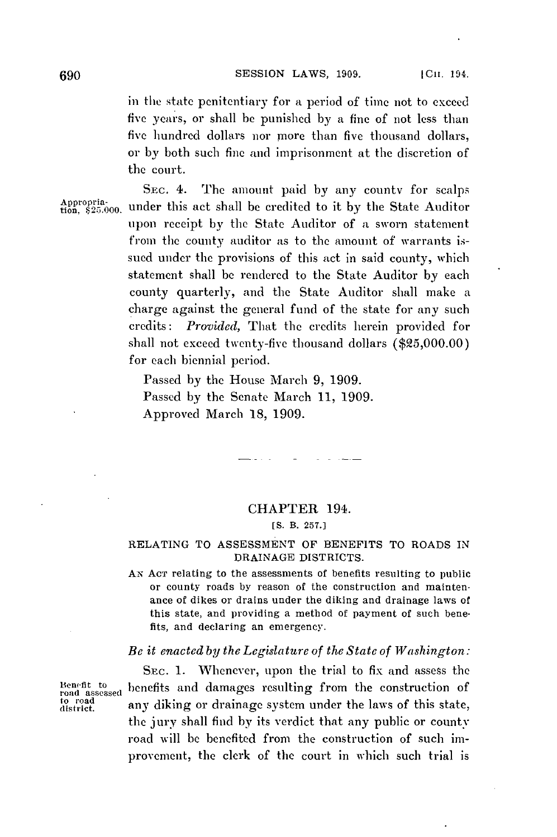in the state penitentiary for a period *of* time not to exceed five years, or shall be punished **by** a fine of not less than five hundred dollars nor more than five thousand dollars, or **by** both such fine and imprisonment at the discretion of the court.

**SEC.** 4. The amount paid **by** any county for scalps SEC. 4. The amount paid by any county for scaips<br>Appropria-<br>tion, \$25.000. under this act shall be credited to it by the State Auditor upon receipt **by** the State Auditor of a sworn statement from the county auditor as to the amount of warrants issued under the provisions of this act in said county, which statement shall **be** rendered to the State Auditor **by** each county quarterly, and the State Auditor shall make a charge against the general fund of the state for any such credits: *Provided,* That the credits herein provided for shall not exceed twenty-five thousand dollars **(\$25,000.00)** for each biennial period.

> Passed **by** the House March **9, 1909.** Passed **by** the Senate March **11, 1909.** Approved March **18, 1909.**

**Service** Control

## CHAPTER 194.

**[S.** B. **257.]**

## **RELATING** TO **ASSESSMENT** OF BENEFITS TO ROADS IN DRAINAGE DISTRICTS.

**AN ACT** relating to the assessments of benefits resulting to public or county roads **by** reason of the construction and maintenance of dikes or drains under the diking and drainage laws of this state, and providing a method of payment of such benefits, and declaring an emergency.

## *Be it enacted by the Legislature of the State of Washington:*

SEc. **1.** Whenever, upon the trial to fix and assess the  $Benefit$  to benefits and damages resulting from the construction of any diking or drainage system under the laws of this state, the jury shall find **by** its verdict that any public or county road will **be** benefited from the construction of such improvement, the clerk of the court in which such trial is

road assessed<br>to road<br>district.